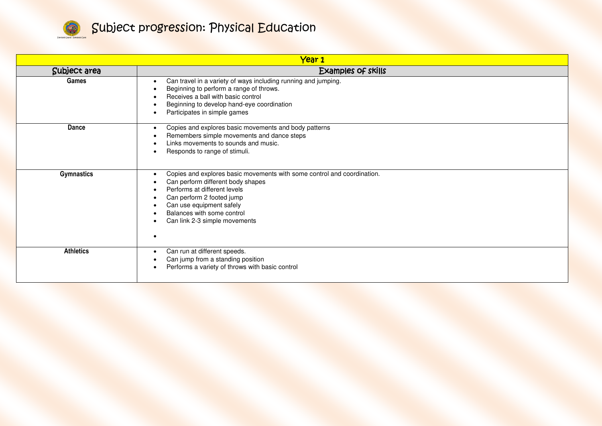

| Year 1            |                                                                                                                                                                                                                                                                                   |  |
|-------------------|-----------------------------------------------------------------------------------------------------------------------------------------------------------------------------------------------------------------------------------------------------------------------------------|--|
| Subject area      | Examples of skills                                                                                                                                                                                                                                                                |  |
| <b>Games</b>      | Can travel in a variety of ways including running and jumping.<br>Beginning to perform a range of throws.<br>Receives a ball with basic control<br>Beginning to develop hand-eye coordination<br>Participates in simple games                                                     |  |
| Dance             | Copies and explores basic movements and body patterns<br>$\bullet$<br>Remembers simple movements and dance steps<br>Links movements to sounds and music.<br>Responds to range of stimuli.                                                                                         |  |
| <b>Gymnastics</b> | Copies and explores basic movements with some control and coordination.<br>$\bullet$<br>Can perform different body shapes<br>Performs at different levels<br>Can perform 2 footed jump<br>Can use equipment safely<br>Balances with some control<br>Can link 2-3 simple movements |  |
| <b>Athletics</b>  | Can run at different speeds.<br>$\bullet$<br>Can jump from a standing position<br>Performs a variety of throws with basic control                                                                                                                                                 |  |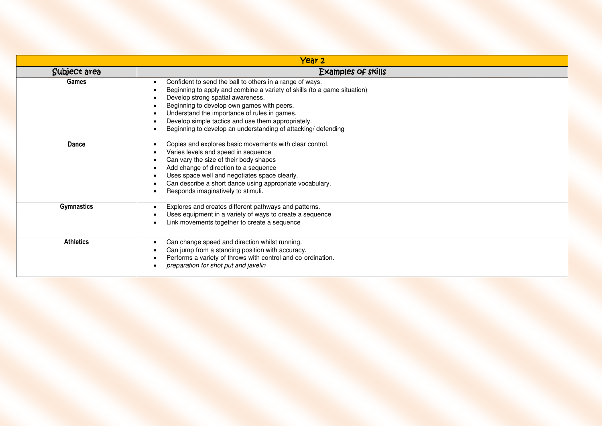| Year <sub>2</sub> |                                                                                                                                                                                                                                                                                                                                                                                               |  |
|-------------------|-----------------------------------------------------------------------------------------------------------------------------------------------------------------------------------------------------------------------------------------------------------------------------------------------------------------------------------------------------------------------------------------------|--|
| Subject area      | <b>Examples of skills</b>                                                                                                                                                                                                                                                                                                                                                                     |  |
| Games             | Confident to send the ball to others in a range of ways.<br>Beginning to apply and combine a variety of skills (to a game situation)<br>Develop strong spatial awareness.<br>Beginning to develop own games with peers.<br>Understand the importance of rules in games.<br>Develop simple tactics and use them appropriately.<br>Beginning to develop an understanding of attacking/defending |  |
| <b>Dance</b>      | Copies and explores basic movements with clear control.<br>Varies levels and speed in sequence<br>Can vary the size of their body shapes<br>Add change of direction to a sequence<br>Uses space well and negotiates space clearly.<br>Can describe a short dance using appropriate vocabulary.<br>Responds imaginatively to stimuli.                                                          |  |
| <b>Gymnastics</b> | Explores and creates different pathways and patterns.<br>$\bullet$<br>Uses equipment in a variety of ways to create a sequence<br>Link movements together to create a sequence                                                                                                                                                                                                                |  |
| <b>Athletics</b>  | Can change speed and direction whilst running.<br>Can jump from a standing position with accuracy.<br>Performs a variety of throws with control and co-ordination.<br>preparation for shot put and javelin                                                                                                                                                                                    |  |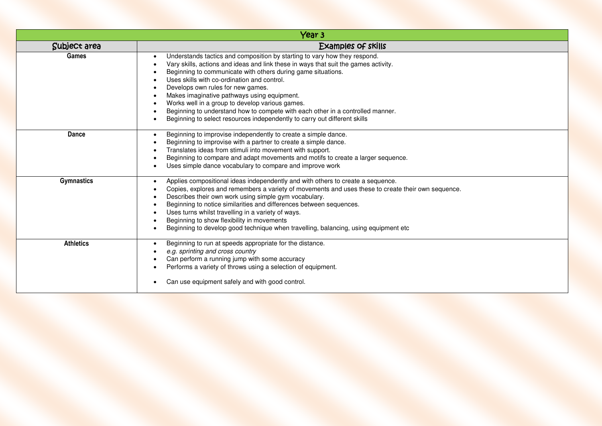| Year <sub>3</sub> |                                                                                                                                                                                                                                                                                                                                                                                                                                                                                                                                                                                       |  |
|-------------------|---------------------------------------------------------------------------------------------------------------------------------------------------------------------------------------------------------------------------------------------------------------------------------------------------------------------------------------------------------------------------------------------------------------------------------------------------------------------------------------------------------------------------------------------------------------------------------------|--|
| Subject area      | <b>Examples of skills</b>                                                                                                                                                                                                                                                                                                                                                                                                                                                                                                                                                             |  |
| <b>Games</b>      | Understands tactics and composition by starting to vary how they respond.<br>Vary skills, actions and ideas and link these in ways that suit the games activity.<br>Beginning to communicate with others during game situations.<br>Uses skills with co-ordination and control.<br>Develops own rules for new games.<br>Makes imaginative pathways using equipment.<br>Works well in a group to develop various games.<br>Beginning to understand how to compete with each other in a controlled manner.<br>Beginning to select resources independently to carry out different skills |  |
| Dance             | Beginning to improvise independently to create a simple dance.<br>Beginning to improvise with a partner to create a simple dance.<br>Translates ideas from stimuli into movement with support.<br>Beginning to compare and adapt movements and motifs to create a larger sequence.<br>Uses simple dance vocabulary to compare and improve work                                                                                                                                                                                                                                        |  |
| <b>Gymnastics</b> | Applies compositional ideas independently and with others to create a sequence.<br>Copies, explores and remembers a variety of movements and uses these to create their own sequence.<br>Describes their own work using simple gym vocabulary.<br>Beginning to notice similarities and differences between sequences.<br>Uses turns whilst travelling in a variety of ways.<br>Beginning to show flexibility in movements<br>Beginning to develop good technique when travelling, balancing, using equipment etc                                                                      |  |
| <b>Athletics</b>  | Beginning to run at speeds appropriate for the distance.<br>e.g. sprinting and cross country<br>Can perform a running jump with some accuracy<br>Performs a variety of throws using a selection of equipment.<br>Can use equipment safely and with good control.                                                                                                                                                                                                                                                                                                                      |  |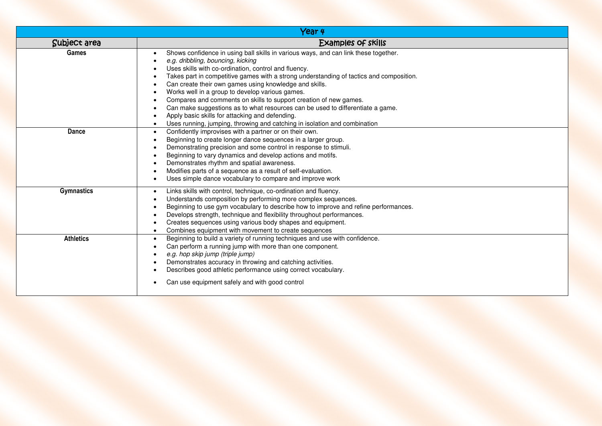|                   | Year 4                                                                                                                                                                                                                                                                                                                                                                                                                                                                                                                                                                                                                                                                          |
|-------------------|---------------------------------------------------------------------------------------------------------------------------------------------------------------------------------------------------------------------------------------------------------------------------------------------------------------------------------------------------------------------------------------------------------------------------------------------------------------------------------------------------------------------------------------------------------------------------------------------------------------------------------------------------------------------------------|
| Subject area      | Examples of skills                                                                                                                                                                                                                                                                                                                                                                                                                                                                                                                                                                                                                                                              |
| Games             | Shows confidence in using ball skills in various ways, and can link these together.<br>e.g. dribbling, bouncing, kicking<br>Uses skills with co-ordination, control and fluency.<br>Takes part in competitive games with a strong understanding of tactics and composition.<br>Can create their own games using knowledge and skills.<br>Works well in a group to develop various games.<br>Compares and comments on skills to support creation of new games.<br>Can make suggestions as to what resources can be used to differentiate a game.<br>Apply basic skills for attacking and defending.<br>Uses running, jumping, throwing and catching in isolation and combination |
| <b>Dance</b>      | Confidently improvises with a partner or on their own.<br>$\bullet$<br>Beginning to create longer dance sequences in a larger group.<br>Demonstrating precision and some control in response to stimuli.<br>Beginning to vary dynamics and develop actions and motifs.<br>Demonstrates rhythm and spatial awareness.<br>Modifies parts of a sequence as a result of self-evaluation.<br>Uses simple dance vocabulary to compare and improve work                                                                                                                                                                                                                                |
| <b>Gymnastics</b> | Links skills with control, technique, co-ordination and fluency.<br>Understands composition by performing more complex sequences.<br>Beginning to use gym vocabulary to describe how to improve and refine performances.<br>Develops strength, technique and flexibility throughout performances.<br>Creates sequences using various body shapes and equipment.<br>Combines equipment with movement to create sequences                                                                                                                                                                                                                                                         |
| <b>Athletics</b>  | Beginning to build a variety of running techniques and use with confidence.<br>$\bullet$<br>Can perform a running jump with more than one component.<br>e.g. hop skip jump (triple jump)<br>Demonstrates accuracy in throwing and catching activities.<br>Describes good athletic performance using correct vocabulary.<br>Can use equipment safely and with good control                                                                                                                                                                                                                                                                                                       |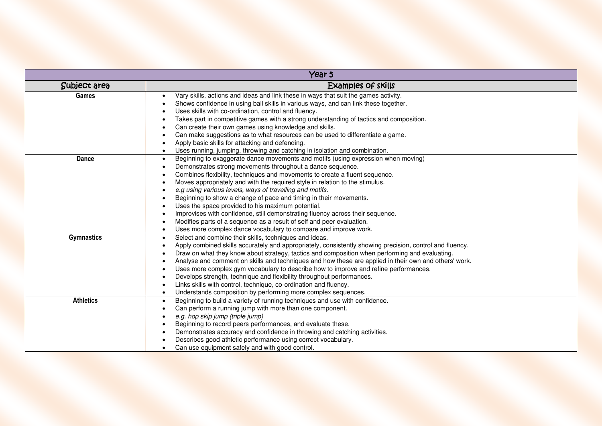| Year 5            |                                                                                                                                                                                                                                                                                                                                                                                                                                                                                                                                                                                                                                                                                                                                                              |
|-------------------|--------------------------------------------------------------------------------------------------------------------------------------------------------------------------------------------------------------------------------------------------------------------------------------------------------------------------------------------------------------------------------------------------------------------------------------------------------------------------------------------------------------------------------------------------------------------------------------------------------------------------------------------------------------------------------------------------------------------------------------------------------------|
| Subject area      | <b>Examples of skills</b>                                                                                                                                                                                                                                                                                                                                                                                                                                                                                                                                                                                                                                                                                                                                    |
| Games             | Vary skills, actions and ideas and link these in ways that suit the games activity.<br>$\bullet$<br>Shows confidence in using ball skills in various ways, and can link these together.<br>Uses skills with co-ordination, control and fluency.<br>Takes part in competitive games with a strong understanding of tactics and composition.<br>Can create their own games using knowledge and skills.<br>Can make suggestions as to what resources can be used to differentiate a game.<br>Apply basic skills for attacking and defending.<br>Uses running, jumping, throwing and catching in isolation and combination.                                                                                                                                      |
| Dance             | Beginning to exaggerate dance movements and motifs (using expression when moving)<br>$\bullet$<br>Demonstrates strong movements throughout a dance sequence.<br>Combines flexibility, techniques and movements to create a fluent sequence.<br>Moves appropriately and with the required style in relation to the stimulus.<br>e.g using various levels, ways of travelling and motifs.<br>Beginning to show a change of pace and timing in their movements.<br>Uses the space provided to his maximum potential.<br>Improvises with confidence, still demonstrating fluency across their sequence.<br>Modifies parts of a sequence as a result of self and peer evaluation.<br>Uses more complex dance vocabulary to compare and improve work.<br>$\bullet$ |
| <b>Gymnastics</b> | Select and combine their skills, techniques and ideas.<br>$\bullet$<br>Apply combined skills accurately and appropriately, consistently showing precision, control and fluency.<br>Draw on what they know about strategy, tactics and composition when performing and evaluating.<br>Analyse and comment on skills and techniques and how these are applied in their own and others' work.<br>Uses more complex gym vocabulary to describe how to improve and refine performances.<br>Develops strength, technique and flexibility throughout performances.<br>Links skills with control, technique, co-ordination and fluency.<br>Understands composition by performing more complex sequences.<br>$\bullet$                                                |
| <b>Athletics</b>  | Beginning to build a variety of running techniques and use with confidence.<br>$\bullet$<br>Can perform a running jump with more than one component.<br>e.g. hop skip jump (triple jump)<br>Beginning to record peers performances, and evaluate these.<br>Demonstrates accuracy and confidence in throwing and catching activities.<br>Describes good athletic performance using correct vocabulary.<br>Can use equipment safely and with good control.                                                                                                                                                                                                                                                                                                     |